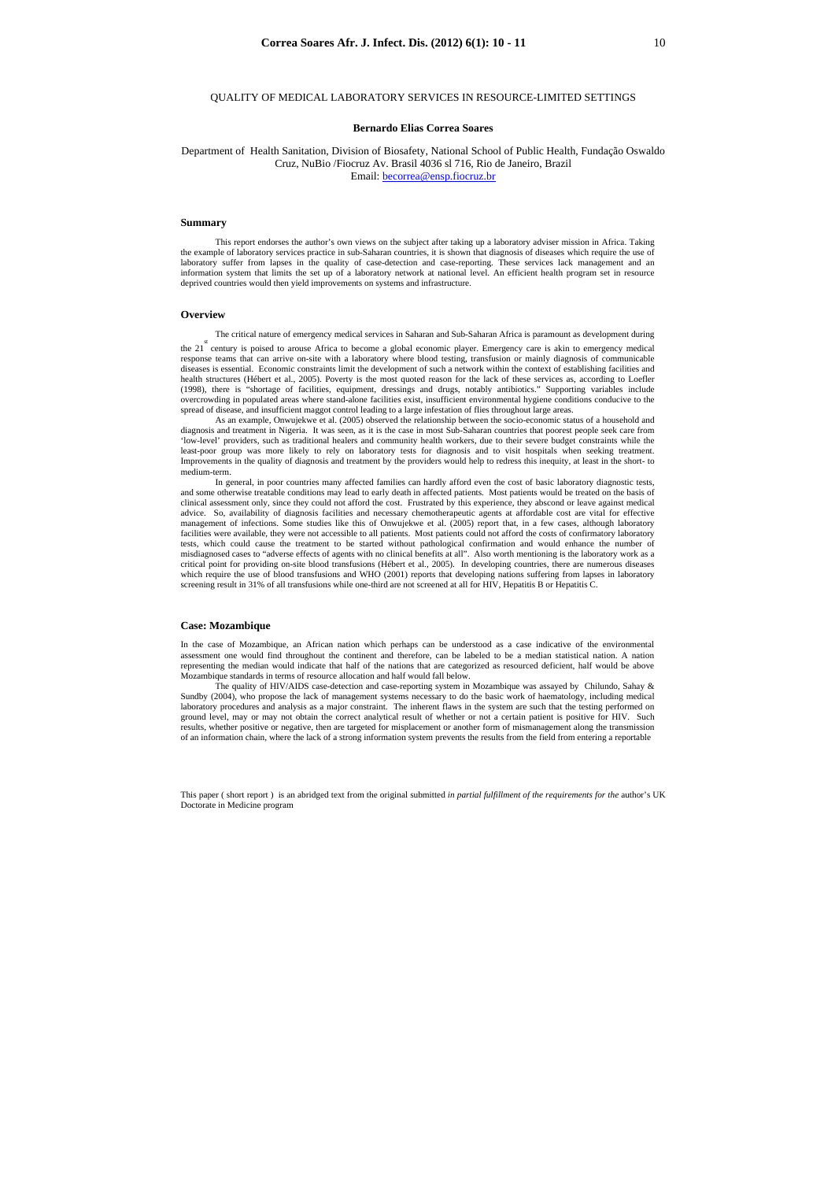This paper ( short report ) is an abridged text from the original submitted *in partial fulfillment of the requirements for the* author's UK Doctorate in Medicine program

# QUALITY OF MEDICAL LABORATORY SERVICES IN RESOURCE-LIMITED SETTINGS

## **Bernardo Elias Correa Soares**

Department of Health Sanitation, Division of Biosafety, National School of Public Health, Fundação Oswaldo Cruz, NuBio /Fiocruz Av. Brasil 4036 sl 716, Rio de Janeiro, Brazil Email: becorrea@ensp.fiocruz.br

## **Summary**

This report endorses the author's own views on the subject after taking up a laboratory adviser mission in Africa. Taking the example of laboratory services practice in sub-Saharan countries, it is shown that diagnosis of diseases which require the use of laboratory suffer from lapses in the quality of case-detection and case-reporting. These services lack management and an information system that limits the set up of a laboratory network at national level. An efficient health program set in resource deprived countries would then yield improvements on systems and infrastructure.

the 21<sup>st</sup> century is poised to arouse Africa to become a global economic player. Emergency care is akin to emergency medical response teams that can arrive on-site with a laboratory where blood testing, transfusion or mainly diagnosis of communicable diseases is essential. Economic constraints limit the development of such a network within the context of establishing facilities and health structures (Hébert et al., 2005). Poverty is the most quoted reason for the lack of these services as, according to Loefler (1998), there is "shortage of facilities, equipment, dressings and drugs, notably antibiotics." Supporting variables include overcrowding in populated areas where stand-alone facilities exist, insufficient environmental hygiene conditions conducive to the spread of disease, and insufficient maggot control leading to a large infestation of flies throughout large areas.

#### **Overview**

The critical nature of emergency medical services in Saharan and Sub-Saharan Africa is paramount as development during

As an example, Onwujekwe et al. (2005) observed the relationship between the socio-economic status of a household and diagnosis and treatment in Nigeria. It was seen, as it is the case in most Sub-Saharan countries that poorest people seek care from 'low-level' providers, such as traditional healers and community health workers, due to their severe budget constraints while the least-poor group was more likely to rely on laboratory tests for diagnosis and to visit hospitals when seeking treatment. Improvements in the quality of diagnosis and treatment by the providers would help to redress this inequity, at least in the short- to medium-term.

In general, in poor countries many affected families can hardly afford even the cost of basic laboratory diagnostic tests, and some otherwise treatable conditions may lead to early death in affected patients. Most patients would be treated on the basis of clinical assessment only, since they could not afford the cost. Frustrated by this experience, they abscond or leave against medical advice. So, availability of diagnosis facilities and necessary chemotherapeutic agents at affordable cost are vital for effective management of infections. Some studies like this of Onwujekwe et al. (2005) report that, in a few cases, although laboratory facilities were available, they were not accessible to all patients. Most patients could not afford the costs of confirmatory laboratory tests, which could cause the treatment to be started without pathological confirmation and would enhance the number of misdiagnosed cases to "adverse effects of agents with no clinical benefits at all". Also worth mentioning is the laboratory work as a critical point for providing on-site blood transfusions (Hébert et al., 2005). In developing countries, there are numerous diseases which require the use of blood transfusions and WHO (2001) reports that developing nations suffering from lapses in laboratory screening result in 31% of all transfusions while one-third are not screened at all for HIV, Hepatitis B or Hepatitis C.

## **Case: Mozambique**

In the case of Mozambique, an African nation which perhaps can be understood as a case indicative of the environmental assessment one would find throughout the continent and therefore, can be labeled to be a median statistical nation. A nation representing the median would indicate that half of the nations that are categorized as resourced deficient, half would be above Mozambique standards in terms of resource allocation and half would fall below.

The quality of HIV/AIDS case-detection and case-reporting system in Mozambique was assayed by Chilundo, Sahay & Sundby (2004), who propose the lack of management systems necessary to do the basic work of haematology, including medical laboratory procedures and analysis as a major constraint. The inherent flaws in the system are such that the testing performed on ground level, may or may not obtain the correct analytical result of whether or not a certain patient is positive for HIV. Such results, whether positive or negative, then are targeted for misplacement or another form of mismanagement along the transmission of an information chain, where the lack of a strong information system prevents the results from the field from entering a reportable